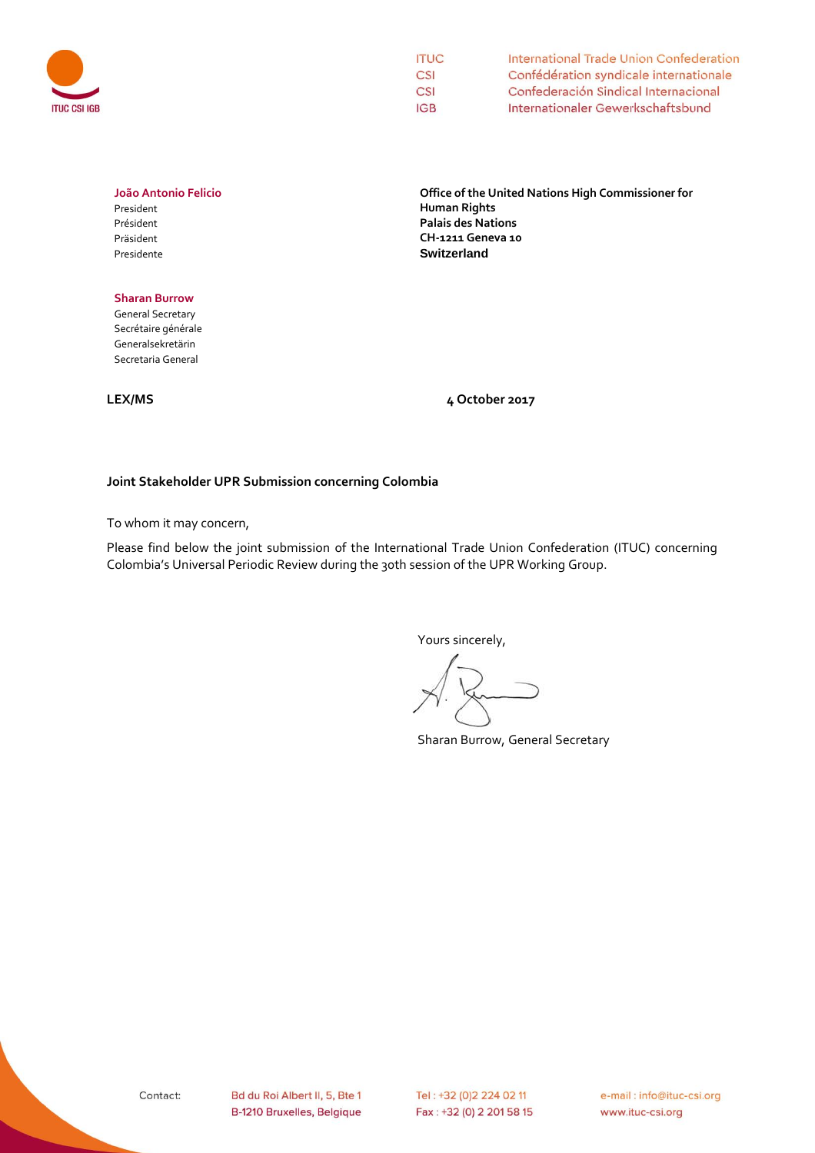

| <b>ITUC</b> | International Trade Union Confederation                                        |  |  |  |  |
|-------------|--------------------------------------------------------------------------------|--|--|--|--|
| CSI         | Confédération syndicale internationale<br>Confederación Sindical Internacional |  |  |  |  |
| CSI         |                                                                                |  |  |  |  |
| <b>IGB</b>  | Internationaler Gewerkschaftsbund                                              |  |  |  |  |

# **João Antonio Felicio**

President Président Präsident Presidente

### **Sharan Burrow**

General Secretary Secrétaire générale Generalsekretärin Secretaria General

**Office of the United Nations High Commissioner for Human Rights Palais des Nations CH-1211 Geneva 10 Switzerland**

**LEX/MS 4 October 2017**

## **Joint Stakeholder UPR Submission concerning Colombia**

To whom it may concern,

Please find below the joint submission of the International Trade Union Confederation (ITUC) concerning Colombia's Universal Periodic Review during the 30th session of the UPR Working Group.

Yours sincerely,

Sharan Burrow, General Secretary

e-mail: info@ituc-csi.org www.ituc-csi.org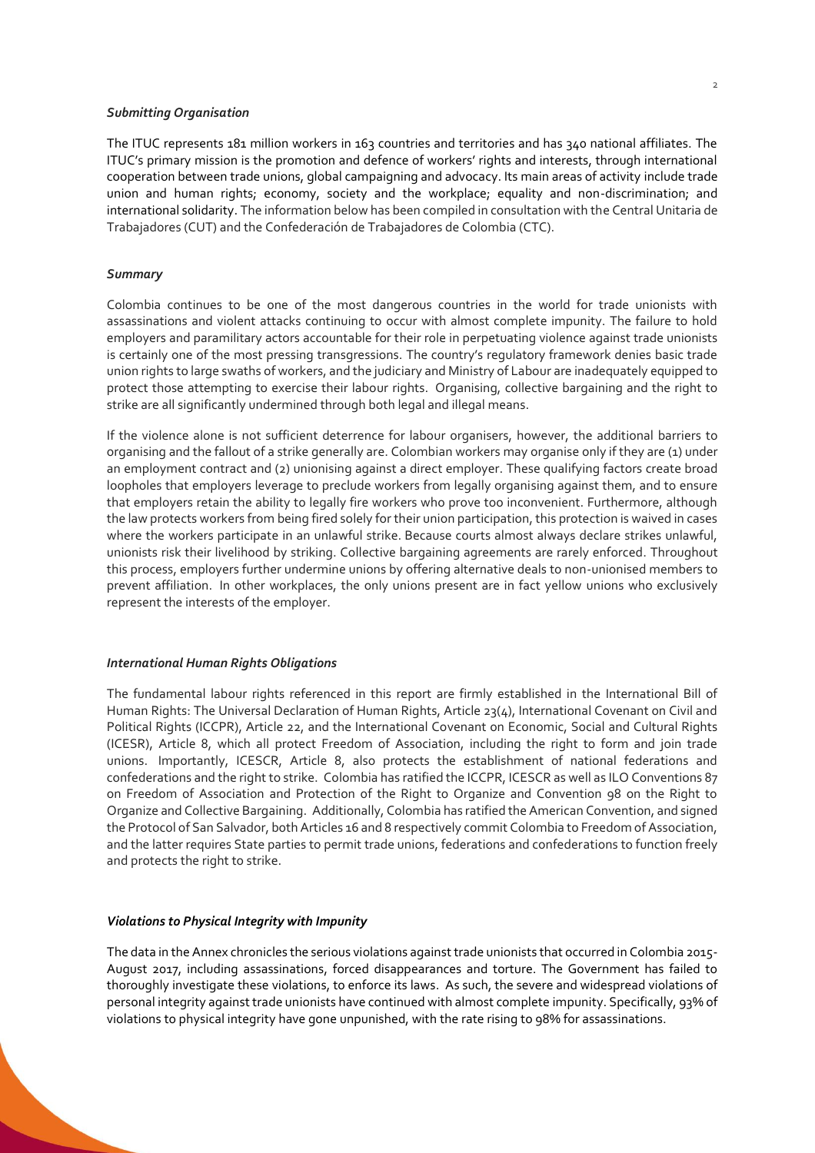#### *Submitting Organisation*

The ITUC represents 181 million workers in 163 countries and territories and has 340 national affiliates. The ITUC's primary mission is the promotion and defence of workers' rights and interests, through international cooperation between trade unions, global campaigning and advocacy. Its main areas of activity include trade union and human rights; economy, society and the workplace; equality and non-discrimination; and international solidarity. The information below has been compiled in consultation with the Central Unitaria de Trabajadores (CUT) and the Confederación de Trabajadores de Colombia (CTC).

#### *Summary*

Colombia continues to be one of the most dangerous countries in the world for trade unionists with assassinations and violent attacks continuing to occur with almost complete impunity. The failure to hold employers and paramilitary actors accountable for their role in perpetuating violence against trade unionists is certainly one of the most pressing transgressions. The country's regulatory framework denies basic trade union rights to large swaths of workers, and the judiciary and Ministry of Labour are inadequately equipped to protect those attempting to exercise their labour rights. Organising, collective bargaining and the right to strike are all significantly undermined through both legal and illegal means.

If the violence alone is not sufficient deterrence for labour organisers, however, the additional barriers to organising and the fallout of a strike generally are. Colombian workers may organise only if they are (1) under an employment contract and (2) unionising against a direct employer. These qualifying factors create broad loopholes that employers leverage to preclude workers from legally organising against them, and to ensure that employers retain the ability to legally fire workers who prove too inconvenient. Furthermore, although the law protects workers from being fired solely for their union participation, this protection is waived in cases where the workers participate in an unlawful strike. Because courts almost always declare strikes unlawful, unionists risk their livelihood by striking. Collective bargaining agreements are rarely enforced. Throughout this process, employers further undermine unions by offering alternative deals to non-unionised members to prevent affiliation. In other workplaces, the only unions present are in fact yellow unions who exclusively represent the interests of the employer.

#### *International Human Rights Obligations*

The fundamental labour rights referenced in this report are firmly established in the International Bill of Human Rights: The Universal Declaration of Human Rights, Article 23(4), International Covenant on Civil and Political Rights (ICCPR), Article 22, and the International Covenant on Economic, Social and Cultural Rights (ICESR), Article 8, which all protect Freedom of Association, including the right to form and join trade unions. Importantly, ICESCR, Article 8, also protects the establishment of national federations and confederations and the right to strike. Colombia has ratified the ICCPR, ICESCR as well as ILO Conventions 87 on Freedom of Association and Protection of the Right to Organize and Convention 98 on the Right to Organize and Collective Bargaining. Additionally, Colombia has ratified the American Convention, and signed the Protocol of San Salvador, both Articles 16 and 8 respectively commit Colombia to Freedom of Association, and the latter requires State parties to permit trade unions, federations and confederations to function freely and protects the right to strike.

#### *Violations to Physical Integrity with Impunity*

The data in the Annex chronicles the serious violations against trade unionists that occurred in Colombia 2015- August 2017, including assassinations, forced disappearances and torture. The Government has failed to thoroughly investigate these violations, to enforce its laws. As such, the severe and widespread violations of personal integrity against trade unionists have continued with almost complete impunity. Specifically, 93% of violations to physical integrity have gone unpunished, with the rate rising to 98% for assassinations.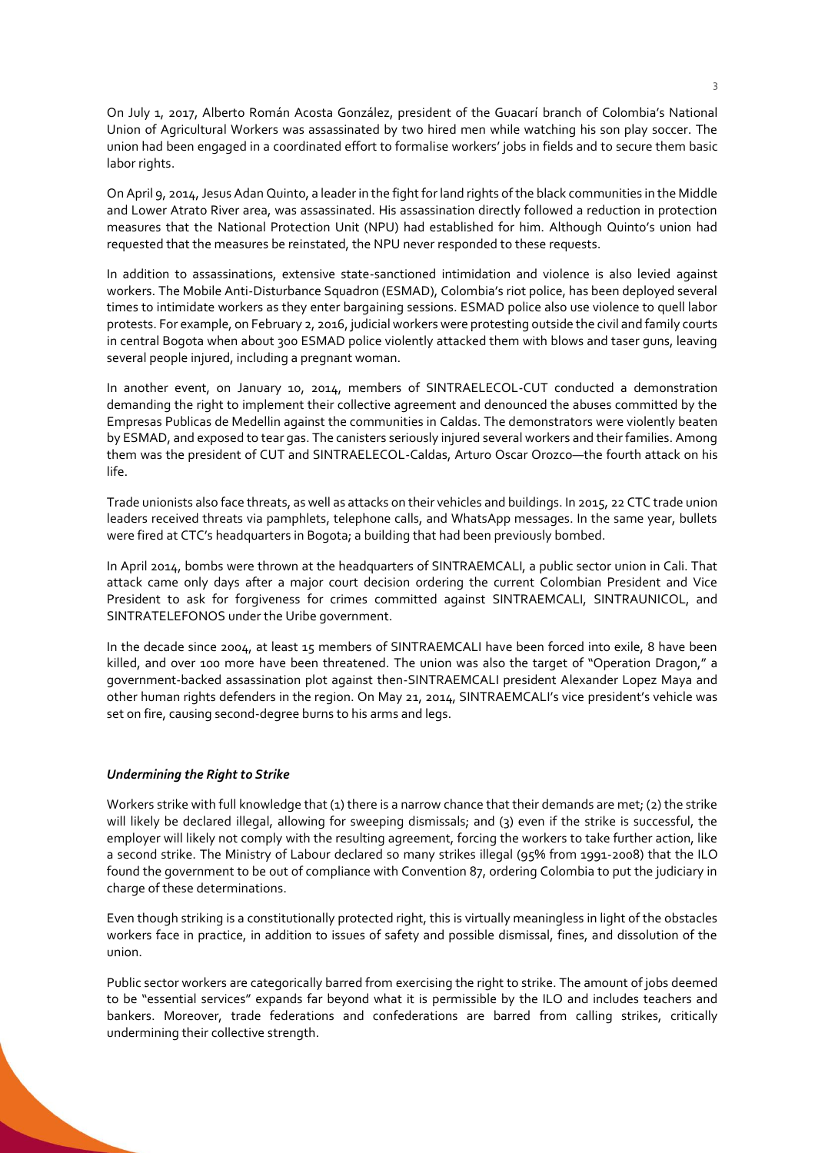On July 1, 2017, Alberto Román Acosta González, president of the Guacarí branch of Colombia's National Union of Agricultural Workers was assassinated by two hired men while watching his son play soccer. The union had been engaged in a coordinated effort to formalise workers' jobs in fields and to secure them basic labor rights.

On April 9, 2014, Jesus Adan Quinto, a leader in the fight for land rights of the black communities in the Middle and Lower Atrato River area, was assassinated. His assassination directly followed a reduction in protection measures that the National Protection Unit (NPU) had established for him. Although Quinto's union had requested that the measures be reinstated, the NPU never responded to these requests.

In addition to assassinations, extensive state-sanctioned intimidation and violence is also levied against workers. The Mobile Anti-Disturbance Squadron (ESMAD), Colombia's riot police, has been deployed several times to intimidate workers as they enter bargaining sessions. ESMAD police also use violence to quell labor protests. For example, on February 2, 2016, judicial workers were protesting outside the civil and family courts in central Bogota when about 300 ESMAD police violently attacked them with blows and taser guns, leaving several people injured, including a pregnant woman.

In another event, on January 10, 2014, members of SINTRAELECOL-CUT conducted a demonstration demanding the right to implement their collective agreement and denounced the abuses committed by the Empresas Publicas de Medellin against the communities in Caldas. The demonstrators were violently beaten by ESMAD, and exposed to tear gas. The canisters seriously injured several workers and their families. Among them was the president of CUT and SINTRAELECOL-Caldas, Arturo Oscar Orozco—the fourth attack on his life.

Trade unionists also face threats, as well as attacks on their vehicles and buildings. In 2015, 22 CTC trade union leaders received threats via pamphlets, telephone calls, and WhatsApp messages. In the same year, bullets were fired at CTC's headquarters in Bogota; a building that had been previously bombed.

In April 2014, bombs were thrown at the headquarters of SINTRAEMCALI, a public sector union in Cali. That attack came only days after a major court decision ordering the current Colombian President and Vice President to ask for forgiveness for crimes committed against SINTRAEMCALI, SINTRAUNICOL, and SINTRATELEFONOS under the Uribe government.

In the decade since 2004, at least 15 members of SINTRAEMCALI have been forced into exile, 8 have been killed, and over 100 more have been threatened. The union was also the target of "Operation Dragon," a government-backed assassination plot against then-SINTRAEMCALI president Alexander Lopez Maya and other human rights defenders in the region. On May 21, 2014, SINTRAEMCALI's vice president's vehicle was set on fire, causing second-degree burns to his arms and legs.

#### *Undermining the Right to Strike*

Workers strike with full knowledge that (1) there is a narrow chance that their demands are met; (2) the strike will likely be declared illegal, allowing for sweeping dismissals; and (3) even if the strike is successful, the employer will likely not comply with the resulting agreement, forcing the workers to take further action, like a second strike. The Ministry of Labour declared so many strikes illegal (95% from 1991-2008) that the ILO found the government to be out of compliance with Convention 87, ordering Colombia to put the judiciary in charge of these determinations.

Even though striking is a constitutionally protected right, this is virtually meaningless in light of the obstacles workers face in practice, in addition to issues of safety and possible dismissal, fines, and dissolution of the union.

Public sector workers are categorically barred from exercising the right to strike. The amount of jobs deemed to be "essential services" expands far beyond what it is permissible by the ILO and includes teachers and bankers. Moreover, trade federations and confederations are barred from calling strikes, critically undermining their collective strength.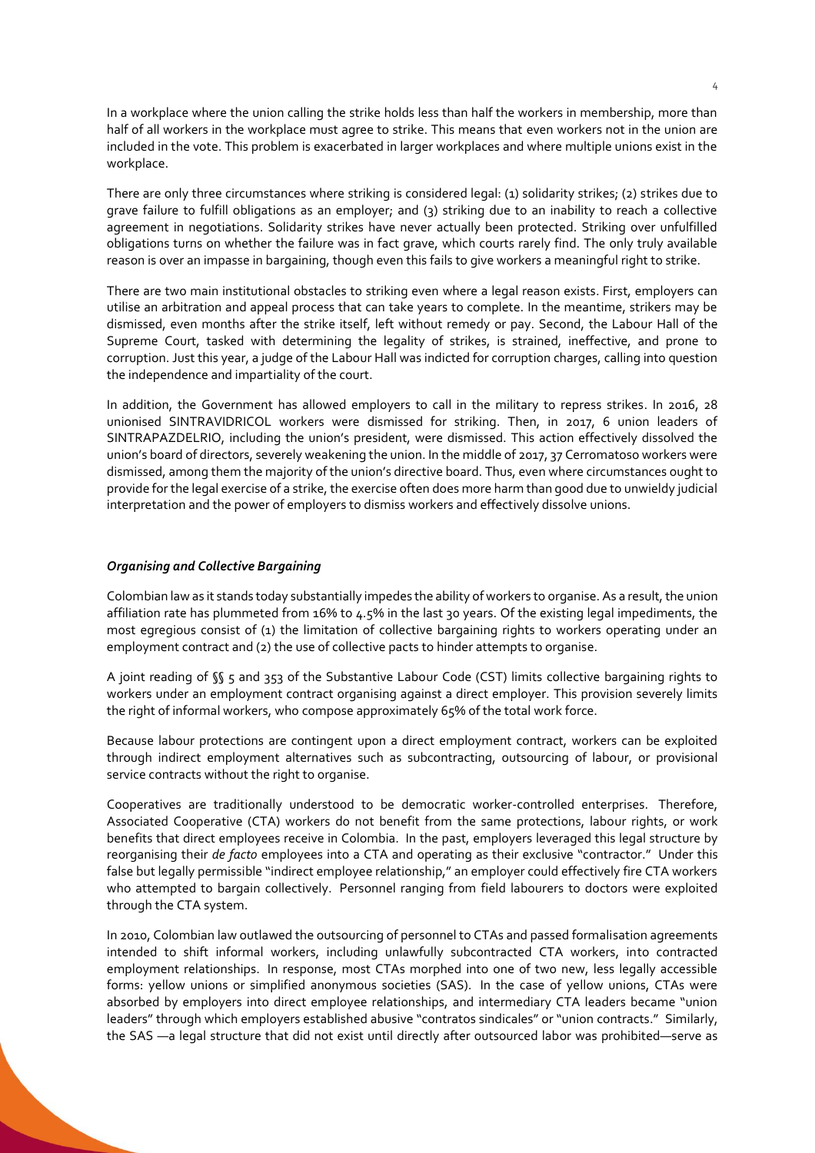In a workplace where the union calling the strike holds less than half the workers in membership, more than half of all workers in the workplace must agree to strike. This means that even workers not in the union are included in the vote. This problem is exacerbated in larger workplaces and where multiple unions exist in the workplace.

There are only three circumstances where striking is considered legal: (1) solidarity strikes; (2) strikes due to grave failure to fulfill obligations as an employer; and (3) striking due to an inability to reach a collective agreement in negotiations. Solidarity strikes have never actually been protected. Striking over unfulfilled obligations turns on whether the failure was in fact grave, which courts rarely find. The only truly available reason is over an impasse in bargaining, though even this fails to give workers a meaningful right to strike.

There are two main institutional obstacles to striking even where a legal reason exists. First, employers can utilise an arbitration and appeal process that can take years to complete. In the meantime, strikers may be dismissed, even months after the strike itself, left without remedy or pay. Second, the Labour Hall of the Supreme Court, tasked with determining the legality of strikes, is strained, ineffective, and prone to corruption. Just this year, a judge of the Labour Hall was indicted for corruption charges, calling into question the independence and impartiality of the court.

In addition, the Government has allowed employers to call in the military to repress strikes. In 2016, 28 unionised SINTRAVIDRICOL workers were dismissed for striking. Then, in 2017, 6 union leaders of SINTRAPAZDELRIO, including the union's president, were dismissed. This action effectively dissolved the union's board of directors, severely weakening the union. In the middle of 2017, 37 Cerromatoso workers were dismissed, among them the majority of the union's directive board. Thus, even where circumstances ought to provide for the legal exercise of a strike, the exercise often does more harm than good due to unwieldy judicial interpretation and the power of employers to dismiss workers and effectively dissolve unions.

### *Organising and Collective Bargaining*

Colombian law as it stands today substantially impedes the ability of workers to organise. As a result, the union affiliation rate has plummeted from 16% to 4.5% in the last 30 years. Of the existing legal impediments, the most egregious consist of (1) the limitation of collective bargaining rights to workers operating under an employment contract and (2) the use of collective pacts to hinder attempts to organise.

A joint reading of §§ 5 and 353 of the Substantive Labour Code (CST) limits collective bargaining rights to workers under an employment contract organising against a direct employer. This provision severely limits the right of informal workers, who compose approximately 65% of the total work force.

Because labour protections are contingent upon a direct employment contract, workers can be exploited through indirect employment alternatives such as subcontracting, outsourcing of labour, or provisional service contracts without the right to organise.

Cooperatives are traditionally understood to be democratic worker-controlled enterprises. Therefore, Associated Cooperative (CTA) workers do not benefit from the same protections, labour rights, or work benefits that direct employees receive in Colombia. In the past, employers leveraged this legal structure by reorganising their *de facto* employees into a CTA and operating as their exclusive "contractor." Under this false but legally permissible "indirect employee relationship," an employer could effectively fire CTA workers who attempted to bargain collectively. Personnel ranging from field labourers to doctors were exploited through the CTA system.

In 2010, Colombian law outlawed the outsourcing of personnel to CTAs and passed formalisation agreements intended to shift informal workers, including unlawfully subcontracted CTA workers, into contracted employment relationships. In response, most CTAs morphed into one of two new, less legally accessible forms: yellow unions or simplified anonymous societies (SAS). In the case of yellow unions, CTAs were absorbed by employers into direct employee relationships, and intermediary CTA leaders became "union leaders" through which employers established abusive "contratos sindicales" or "union contracts." Similarly, the SAS —a legal structure that did not exist until directly after outsourced labor was prohibited—serve as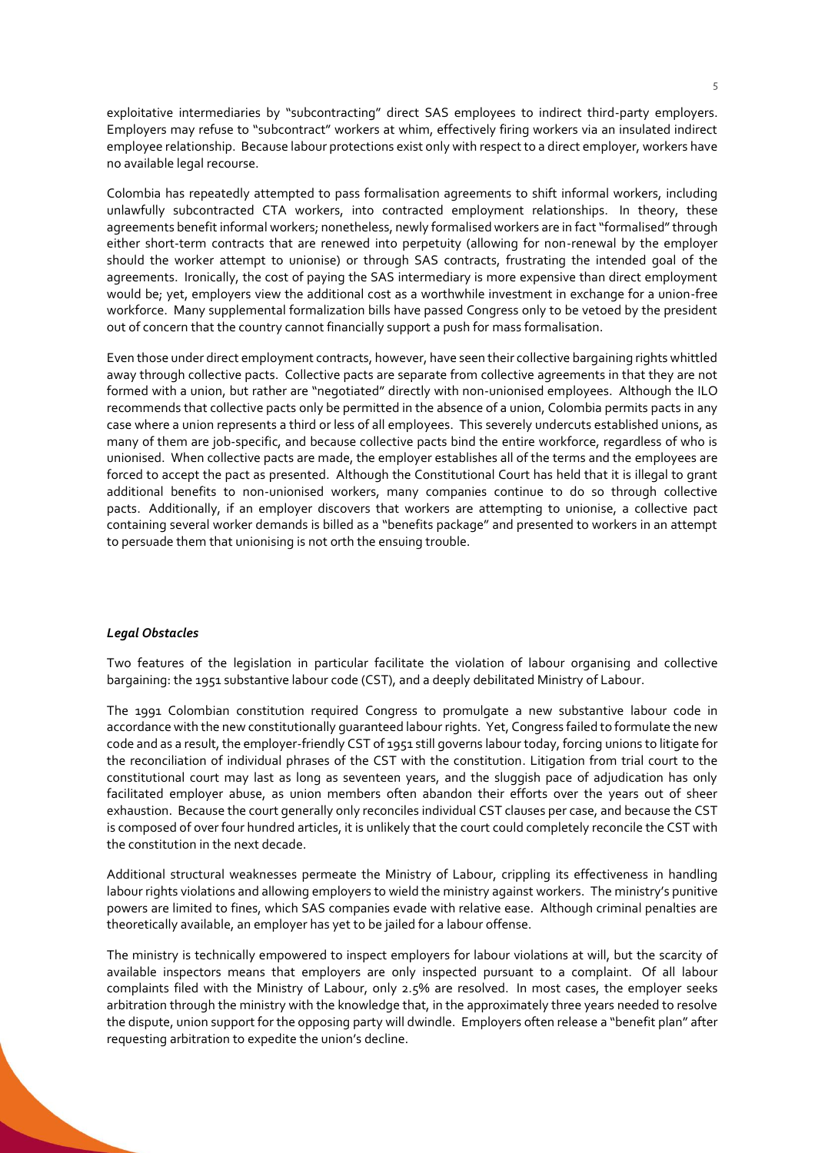exploitative intermediaries by "subcontracting" direct SAS employees to indirect third-party employers. Employers may refuse to "subcontract" workers at whim, effectively firing workers via an insulated indirect employee relationship. Because labour protections exist only with respect to a direct employer, workers have no available legal recourse.

Colombia has repeatedly attempted to pass formalisation agreements to shift informal workers, including unlawfully subcontracted CTA workers, into contracted employment relationships. In theory, these agreements benefit informal workers; nonetheless, newly formalised workers are in fact "formalised" through either short-term contracts that are renewed into perpetuity (allowing for non-renewal by the employer should the worker attempt to unionise) or through SAS contracts, frustrating the intended goal of the agreements. Ironically, the cost of paying the SAS intermediary is more expensive than direct employment would be; yet, employers view the additional cost as a worthwhile investment in exchange for a union-free workforce. Many supplemental formalization bills have passed Congress only to be vetoed by the president out of concern that the country cannot financially support a push for mass formalisation.

Even those under direct employment contracts, however, have seen their collective bargaining rights whittled away through collective pacts. Collective pacts are separate from collective agreements in that they are not formed with a union, but rather are "negotiated" directly with non-unionised employees. Although the ILO recommends that collective pacts only be permitted in the absence of a union, Colombia permits pacts in any case where a union represents a third or less of all employees. This severely undercuts established unions, as many of them are job-specific, and because collective pacts bind the entire workforce, regardless of who is unionised. When collective pacts are made, the employer establishes all of the terms and the employees are forced to accept the pact as presented. Although the Constitutional Court has held that it is illegal to grant additional benefits to non-unionised workers, many companies continue to do so through collective pacts. Additionally, if an employer discovers that workers are attempting to unionise, a collective pact containing several worker demands is billed as a "benefits package" and presented to workers in an attempt to persuade them that unionising is not orth the ensuing trouble.

### *Legal Obstacles*

Two features of the legislation in particular facilitate the violation of labour organising and collective bargaining: the 1951 substantive labour code (CST), and a deeply debilitated Ministry of Labour.

The 1991 Colombian constitution required Congress to promulgate a new substantive labour code in accordance with the new constitutionally guaranteed labour rights. Yet, Congress failed to formulate the new code and as a result, the employer-friendly CST of 1951 still governs labour today, forcing unions to litigate for the reconciliation of individual phrases of the CST with the constitution. Litigation from trial court to the constitutional court may last as long as seventeen years, and the sluggish pace of adjudication has only facilitated employer abuse, as union members often abandon their efforts over the years out of sheer exhaustion. Because the court generally only reconciles individual CST clauses per case, and because the CST is composed of over four hundred articles, it is unlikely that the court could completely reconcile the CST with the constitution in the next decade.

Additional structural weaknesses permeate the Ministry of Labour, crippling its effectiveness in handling labour rights violations and allowing employers to wield the ministry against workers. The ministry's punitive powers are limited to fines, which SAS companies evade with relative ease. Although criminal penalties are theoretically available, an employer has yet to be jailed for a labour offense.

The ministry is technically empowered to inspect employers for labour violations at will, but the scarcity of available inspectors means that employers are only inspected pursuant to a complaint. Of all labour complaints filed with the Ministry of Labour, only 2.5% are resolved. In most cases, the employer seeks arbitration through the ministry with the knowledge that, in the approximately three years needed to resolve the dispute, union support for the opposing party will dwindle. Employers often release a "benefit plan" after requesting arbitration to expedite the union's decline.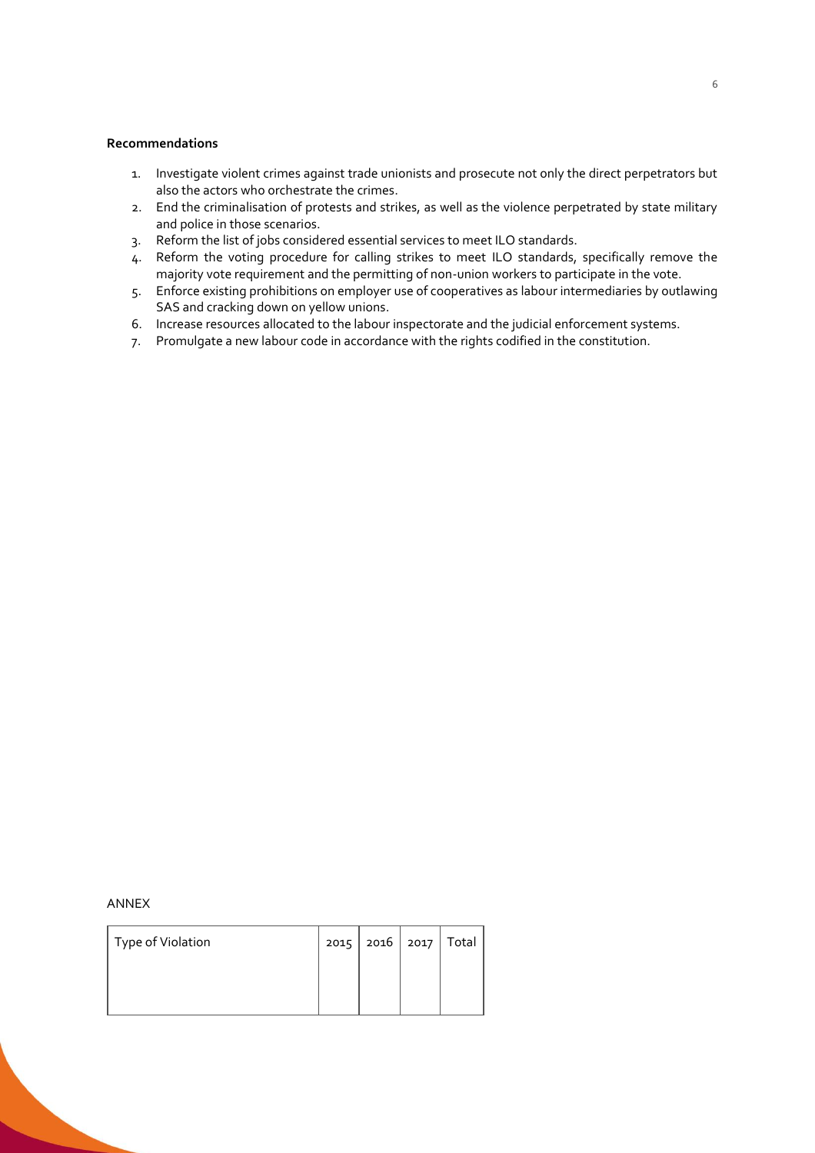# **Recommendations**

- 1. Investigate violent crimes against trade unionists and prosecute not only the direct perpetrators but also the actors who orchestrate the crimes.
- 2. End the criminalisation of protests and strikes, as well as the violence perpetrated by state military and police in those scenarios.
- 3. Reform the list of jobs considered essential services to meet ILO standards.
- 4. Reform the voting procedure for calling strikes to meet ILO standards, specifically remove the majority vote requirement and the permitting of non-union workers to participate in the vote.
- 5. Enforce existing prohibitions on employer use of cooperatives as labour intermediaries by outlawing SAS and cracking down on yellow unions.
- 6. Increase resources allocated to the labour inspectorate and the judicial enforcement systems.
- 7. Promulgate a new labour code in accordance with the rights codified in the constitution.

#### ANNEX

| Type of Violation |  | 2016   2017   Total |  |
|-------------------|--|---------------------|--|
|                   |  |                     |  |
|                   |  |                     |  |